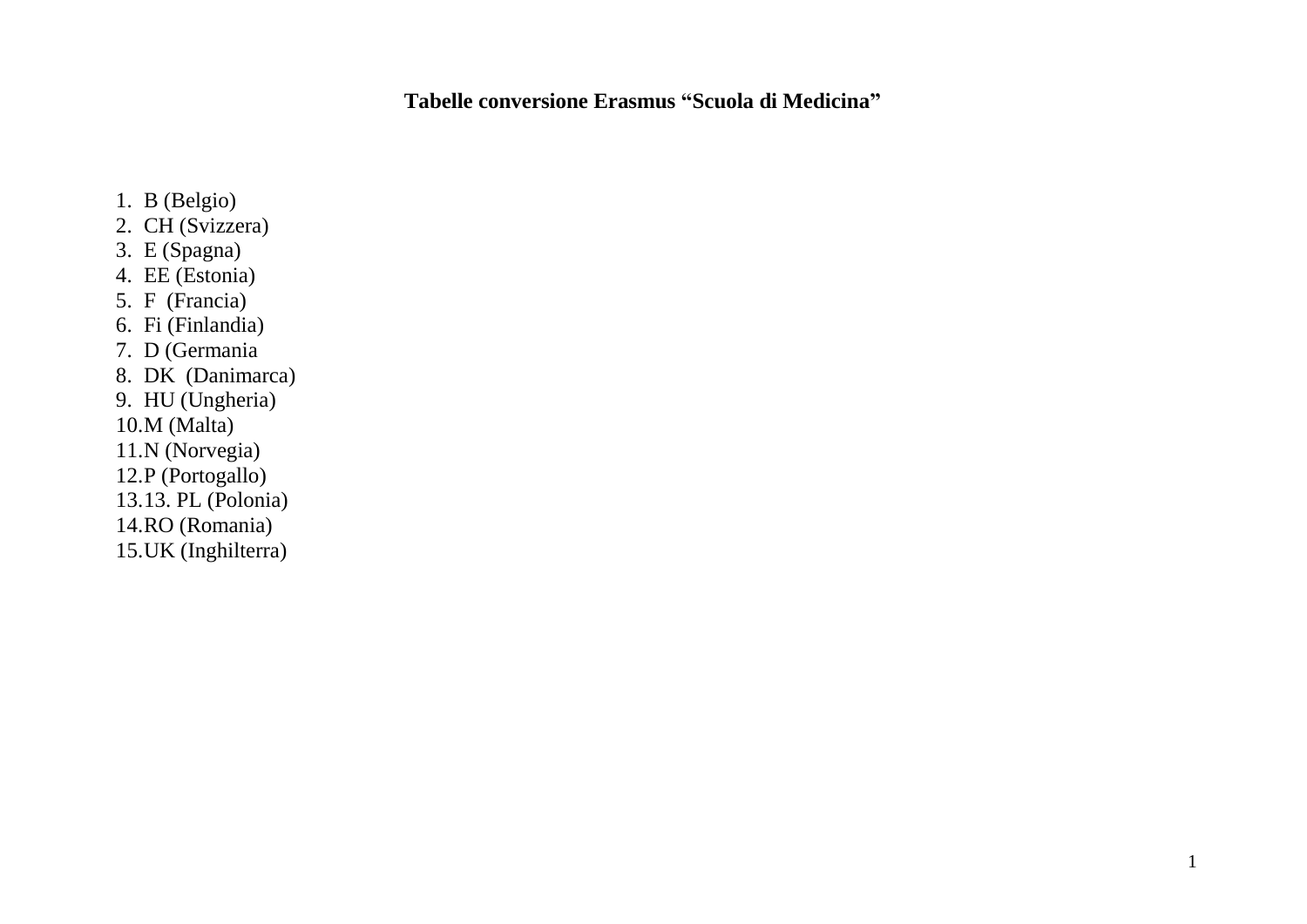**Tabelle conversione Erasmus "Scuola di Medicina"**

- 1. B (Belgio)
- 2. CH (Svizzera)
- 3. E (Spagna)
- 4. EE (Estonia)
- 5. F (Francia)
- 6. Fi (Finlandia)
- 7. D (Germania
- 8. DK (Danimarca)
- 9. HU (Ungheria)
- 10.M (Malta)
- 11.N (Norvegia)
- 12.P (Portogallo)
- 13.13. PL (Polonia)
- 14.RO (Romania)
- 15.UK (Inghilterra)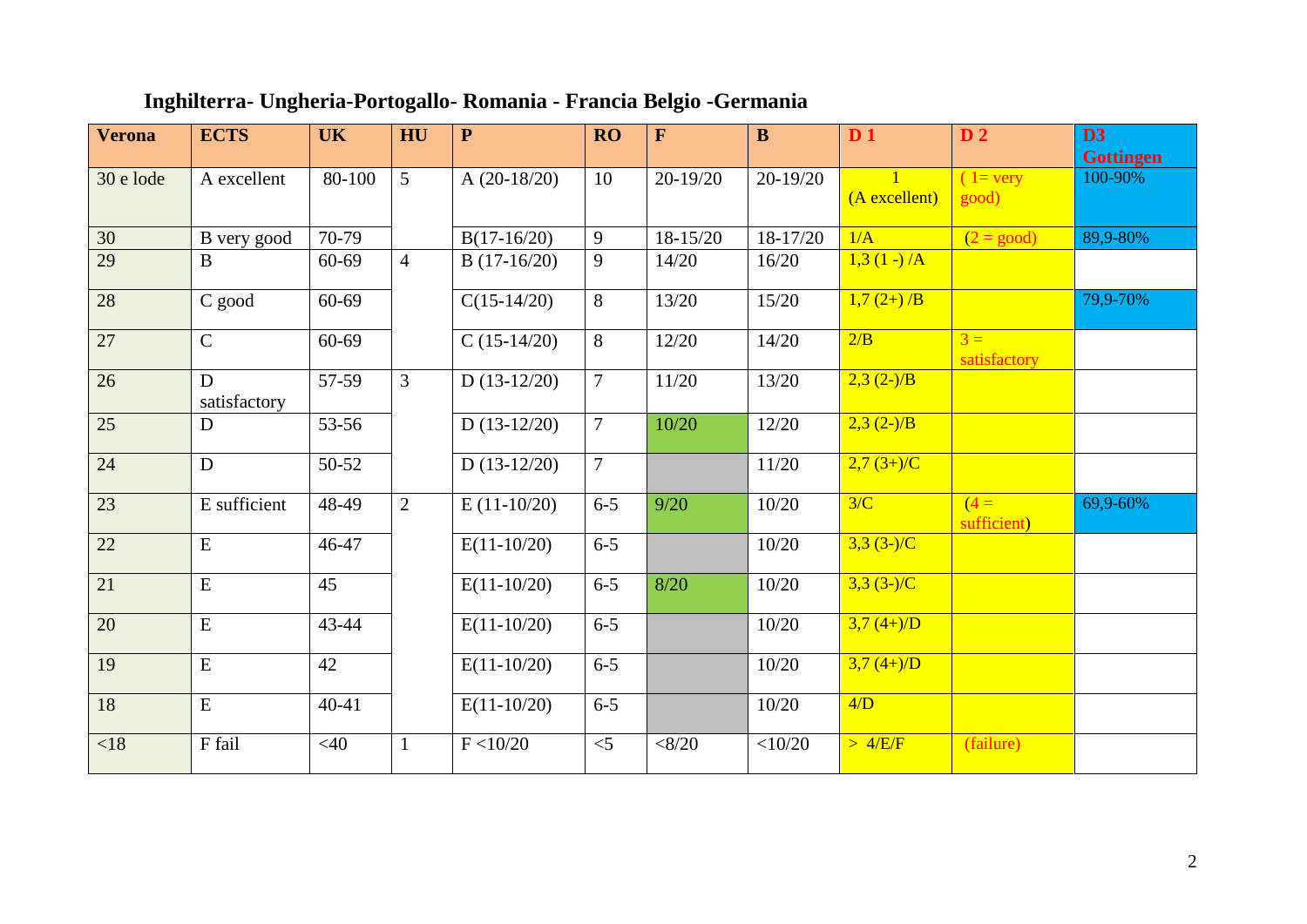| <b>Verona</b> | <b>ECTS</b>       | <b>UK</b> | HU             | $\mathbf{P}$   | <b>RO</b>      | F           | $\bf{B}$     | D <sub>1</sub>  | D <sub>2</sub>             | D3<br><b>Gottingen</b> |
|---------------|-------------------|-----------|----------------|----------------|----------------|-------------|--------------|-----------------|----------------------------|------------------------|
| 30 e lode     | A excellent       | 80-100    | 5              | A $(20-18/20)$ | 10             | 20-19/20    | $20 - 19/20$ | (A excellent)   | $1 = \text{very}$<br>good) | 100-90%                |
| 30            | B very good       | $70-79$   |                | $B(17-16/20)$  | 9              | 18-15/20    | $18-17/20$   | 1/A             | $(2 = good)$               | 89,9-80%               |
| 29            | $\mathbf{B}$      | $60 - 69$ | $\overline{4}$ | $B(17-16/20)$  | 9              | 14/20       | 16/20        | $1,3(1-)$ /A    |                            |                        |
| 28            | C good            | $60 - 69$ |                | $C(15-14/20)$  | 8              | 13/20       | 15/20        | $1,7(2+)$ /B    |                            | 79,9-70%               |
| 27            | $\mathsf{C}$      | $60 - 69$ |                | $C(15-14/20)$  | 8              | $12/20$     | 14/20        | 2/B             | $3 =$<br>satisfactory      |                        |
| 26            | D<br>satisfactory | 57-59     | $\overline{3}$ | $D(13-12/20)$  | $\overline{7}$ | 11/20       | 13/20        | $2,3(2-)$ /B    |                            |                        |
| 25            | $\mathbf D$       | 53-56     |                | $D(13-12/20)$  | $\overline{7}$ | 10/20       | 12/20        | $2,3(2-)$ /B    |                            |                        |
| 24            | $\mathbf D$       | 50-52     |                | $D(13-12/20)$  | $\overline{7}$ |             | 11/20        | $2,7(3+)/C$     |                            |                        |
| 23            | E sufficient      | 48-49     | $\overline{2}$ | $E(11-10/20)$  | $6 - 5$        | 9/20        | 10/20        | 3/C             | $(4=$<br>sufficient)       | 69,9-60%               |
| 22            | ${\bf E}$         | 46-47     |                | $E(11-10/20)$  | $6 - 5$        |             | 10/20        | $3,3$ $(3-)$ /C |                            |                        |
| 21            | ${\bf E}$         | 45        |                | $E(11-10/20)$  | $6 - 5$        | $8/20$      | 10/20        | $3,3$ $(3-)$ /C |                            |                        |
| 20            | ${\bf E}$         | 43-44     |                | $E(11-10/20)$  | $6 - 5$        |             | 10/20        | $3,7(4+)$ /D    |                            |                        |
| 19            | ${\bf E}$         | 42        |                | $E(11-10/20)$  | $6 - 5$        |             | 10/20        | $3,7(4+)$ /D    |                            |                        |
| 18            | ${\bf E}$         | $40 - 41$ |                | $E(11-10/20)$  | $6-5$          |             | 10/20        | 4/D             |                            |                        |
| < 18          | F fail            | <40       | $\mathbf{1}$   | F < 10/20      | $<$ 5          | $<\!\!8/20$ | $<$ 10/20    | $>$ 4/E/F       | (failure)                  |                        |

## **Inghilterra- Ungheria-Portogallo- Romania - Francia Belgio -Germania**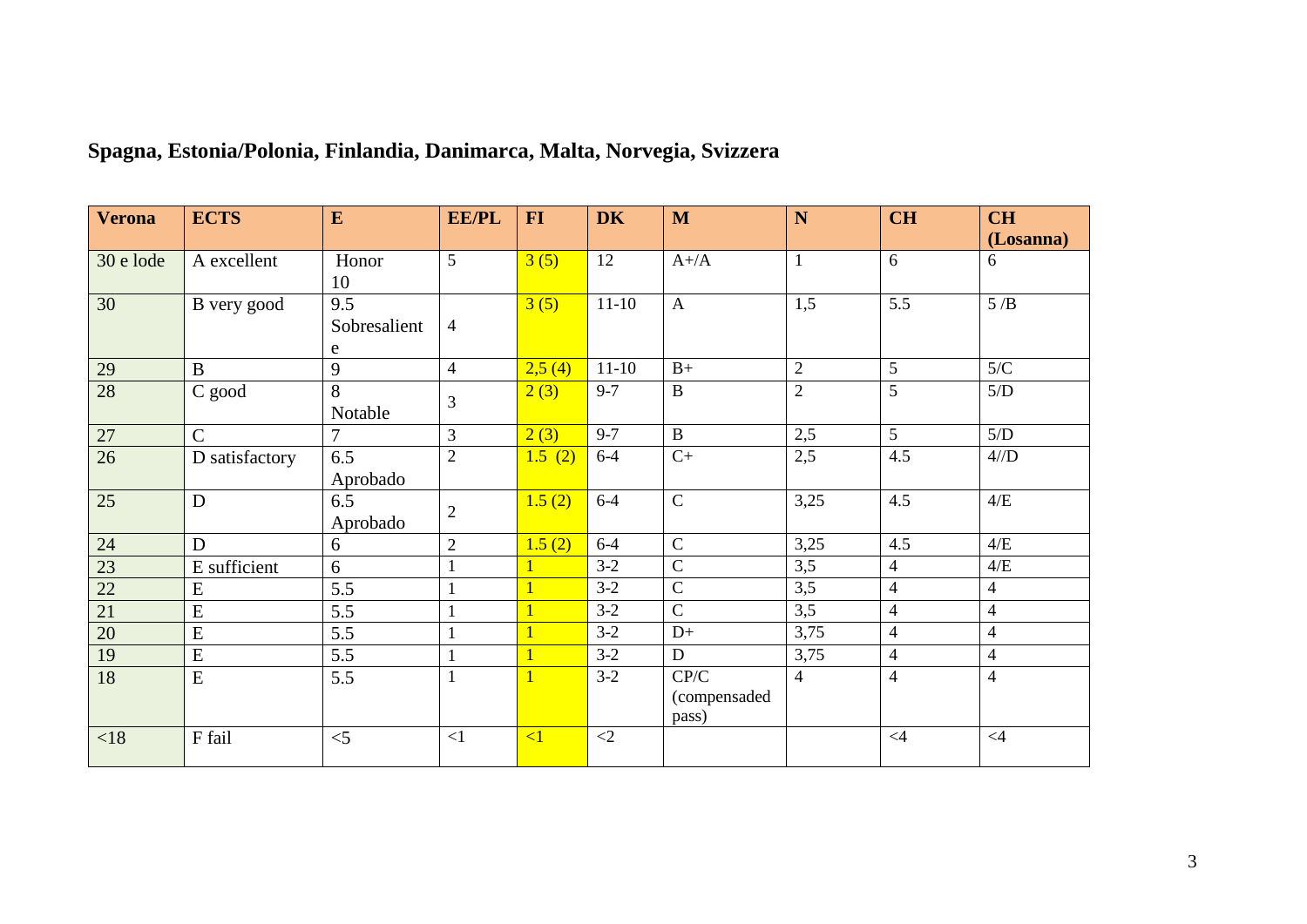| <b>Verona</b>   | <b>ECTS</b>    | E                        | <b>EE/PL</b>     | $FI$     | <b>DK</b>   | M                             | N              | <b>CH</b>      | <b>CH</b><br>(Losanna) |
|-----------------|----------------|--------------------------|------------------|----------|-------------|-------------------------------|----------------|----------------|------------------------|
| 30 e lode       | A excellent    | Honor<br>10              | 5                | 3(5)     | 12          | $A+/A$                        | $\mathbf{1}$   | 6              | 6                      |
| 30              | B very good    | 9.5<br>Sobresalient<br>e | $\overline{4}$   | 3(5)     | $11-10$     | $\mathbf{A}$                  | 1,5            | 5.5            | 5/B                    |
| 29              | $\mathbf B$    | 9                        | $\overline{4}$   | 2,5(4)   | $11-10$     | $B+$                          | $\overline{2}$ | $\mathfrak{S}$ | 5/C                    |
| 28              | C good         | 8<br>Notable             | 3                | 2(3)     | $9 - 7$     | $\, {\bf B}$                  | $\overline{2}$ | 5              | $5/D$                  |
| 27              | $\mathsf{C}$   | 7                        | $\overline{3}$   | 2(3)     | $9 - 7$     | $\, {\bf B}$                  | 2,5            | $\overline{5}$ | 5/D                    |
| 26              | D satisfactory | 6.5<br>Aprobado          | $\overline{2}$   | 1.5(2)   | $6-4$       | $C+$                          | 2,5            | 4.5            | $4/\mathcal{D}$        |
| 25              | $\mathbf D$    | 6.5<br>Aprobado          | $\boldsymbol{2}$ | 1.5(2)   | $6-4$       | $\overline{C}$                | 3,25           | 4.5            | $4/E$                  |
| $\overline{24}$ | D              | 6                        | $\mathbf{2}$     | 1.5(2)   | $6 - 4$     | $\overline{C}$                | 3,25           | 4.5            | 4/E                    |
| 23              | E sufficient   | 6                        | $\mathbf{1}$     |          | $3-2$       | $\overline{C}$                | 3,5            | $\overline{4}$ | 4/E                    |
| $\overline{22}$ | ${\bf E}$      | 5.5                      | 1                |          | $3-2$       | ${\bf C}$                     | 3,5            | $\overline{4}$ | 4                      |
| $\overline{21}$ | E              | 5.5                      | $\mathbf{1}$     |          | $3-2$       | $\overline{C}$                | 3,5            | $\overline{4}$ | $\overline{4}$         |
| 20              | ${\bf E}$      | 5.5                      |                  |          | $3-2$       | $D+$                          | 3,75           | $\overline{4}$ | $\overline{4}$         |
| 19              | ${\bf E}$      | 5.5                      | $\mathbf{1}$     |          | $3-2$       | ${\bf D}$                     | 3,75           | $\overline{4}$ | $\overline{4}$         |
| 18              | ${\bf E}$      | 5.5                      | 1                |          | $3-2$       | CP/C<br>(compensaded<br>pass) | 4              | $\overline{4}$ | $\overline{4}$         |
| <18             | F fail         | $<$ 5                    | $\leq$ 1         | $\leq$ 1 | $\langle 2$ |                               |                | $\leq 4$       | $\leq 4$               |

## **Spagna, Estonia/Polonia, Finlandia, Danimarca, Malta, Norvegia, Svizzera**